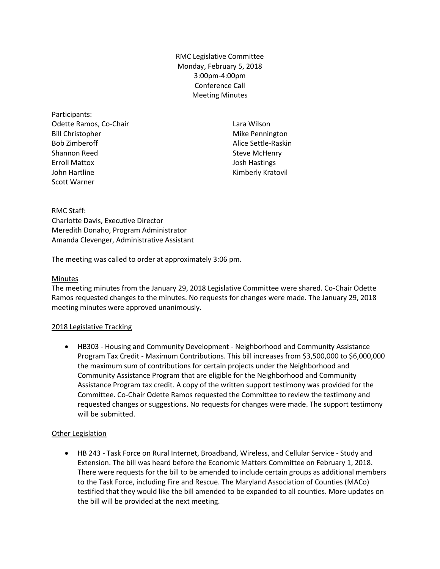RMC Legislative Committee Monday, February 5, 2018 3:00pm-4:00pm Conference Call Meeting Minutes

Participants: Odette Ramos, Co-Chair Bill Christopher Bob Zimberoff Shannon Reed Erroll Mattox John Hartline Scott Warner

Lara Wilson Mike Pennington Alice Settle-Raskin Steve McHenry Josh Hastings Kimberly Kratovil

RMC Staff: Charlotte Davis, Executive Director Meredith Donaho, Program Administrator Amanda Clevenger, Administrative Assistant

The meeting was called to order at approximately 3:06 pm.

#### Minutes

The meeting minutes from the January 29, 2018 Legislative Committee were shared. Co-Chair Odette Ramos requested changes to the minutes. No requests for changes were made. The January 29, 2018 meeting minutes were approved unanimously.

#### 2018 Legislative Tracking

 HB303 - Housing and Community Development - Neighborhood and Community Assistance Program Tax Credit - Maximum Contributions. This bill increases from \$3,500,000 to \$6,000,000 the maximum sum of contributions for certain projects under the Neighborhood and Community Assistance Program that are eligible for the Neighborhood and Community Assistance Program tax credit. A copy of the written support testimony was provided for the Committee. Co-Chair Odette Ramos requested the Committee to review the testimony and requested changes or suggestions. No requests for changes were made. The support testimony will be submitted.

### Other Legislation

 HB 243 - Task Force on Rural Internet, Broadband, Wireless, and Cellular Service - Study and Extension. The bill was heard before the Economic Matters Committee on February 1, 2018. There were requests for the bill to be amended to include certain groups as additional members to the Task Force, including Fire and Rescue. The Maryland Association of Counties (MACo) testified that they would like the bill amended to be expanded to all counties. More updates on the bill will be provided at the next meeting.